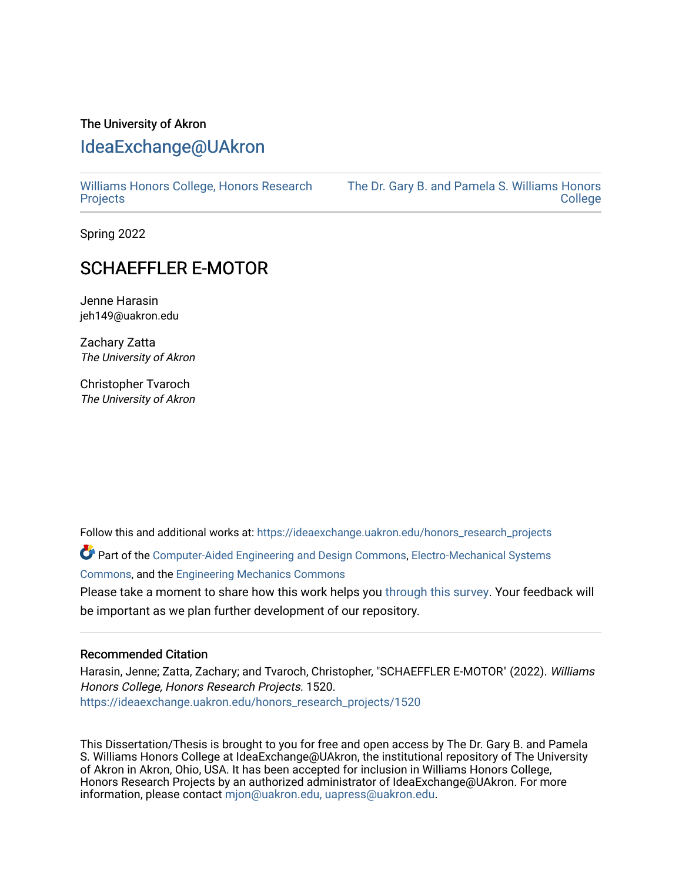# The University of Akron [IdeaExchange@UAkron](https://ideaexchange.uakron.edu/)

[Williams Honors College, Honors Research](https://ideaexchange.uakron.edu/honors_research_projects)  **[Projects](https://ideaexchange.uakron.edu/honors_research_projects)** 

[The Dr. Gary B. and Pamela S. Williams Honors](https://ideaexchange.uakron.edu/honorscollege_ideas)  **College** 

Spring 2022

## SCHAEFFLER E-MOTOR

Jenne Harasin jeh149@uakron.edu

Zachary Zatta The University of Akron

Christopher Tvaroch The University of Akron

Follow this and additional works at: [https://ideaexchange.uakron.edu/honors\\_research\\_projects](https://ideaexchange.uakron.edu/honors_research_projects?utm_source=ideaexchange.uakron.edu%2Fhonors_research_projects%2F1520&utm_medium=PDF&utm_campaign=PDFCoverPages) 

Part of the [Computer-Aided Engineering and Design Commons](http://network.bepress.com/hgg/discipline/297?utm_source=ideaexchange.uakron.edu%2Fhonors_research_projects%2F1520&utm_medium=PDF&utm_campaign=PDFCoverPages), [Electro-Mechanical Systems](http://network.bepress.com/hgg/discipline/298?utm_source=ideaexchange.uakron.edu%2Fhonors_research_projects%2F1520&utm_medium=PDF&utm_campaign=PDFCoverPages) [Commons](http://network.bepress.com/hgg/discipline/298?utm_source=ideaexchange.uakron.edu%2Fhonors_research_projects%2F1520&utm_medium=PDF&utm_campaign=PDFCoverPages), and the [Engineering Mechanics Commons](http://network.bepress.com/hgg/discipline/280?utm_source=ideaexchange.uakron.edu%2Fhonors_research_projects%2F1520&utm_medium=PDF&utm_campaign=PDFCoverPages)

Please take a moment to share how this work helps you [through this survey](http://survey.az1.qualtrics.com/SE/?SID=SV_eEVH54oiCbOw05f&URL=https://ideaexchange.uakron.edu/honors_research_projects/1520). Your feedback will be important as we plan further development of our repository.

#### Recommended Citation

Harasin, Jenne; Zatta, Zachary; and Tvaroch, Christopher, "SCHAEFFLER E-MOTOR" (2022). Williams Honors College, Honors Research Projects. 1520. [https://ideaexchange.uakron.edu/honors\\_research\\_projects/1520](https://ideaexchange.uakron.edu/honors_research_projects/1520?utm_source=ideaexchange.uakron.edu%2Fhonors_research_projects%2F1520&utm_medium=PDF&utm_campaign=PDFCoverPages) 

This Dissertation/Thesis is brought to you for free and open access by The Dr. Gary B. and Pamela S. Williams Honors College at IdeaExchange@UAkron, the institutional repository of The University of Akron in Akron, Ohio, USA. It has been accepted for inclusion in Williams Honors College, Honors Research Projects by an authorized administrator of IdeaExchange@UAkron. For more information, please contact [mjon@uakron.edu, uapress@uakron.edu.](mailto:mjon@uakron.edu,%20uapress@uakron.edu)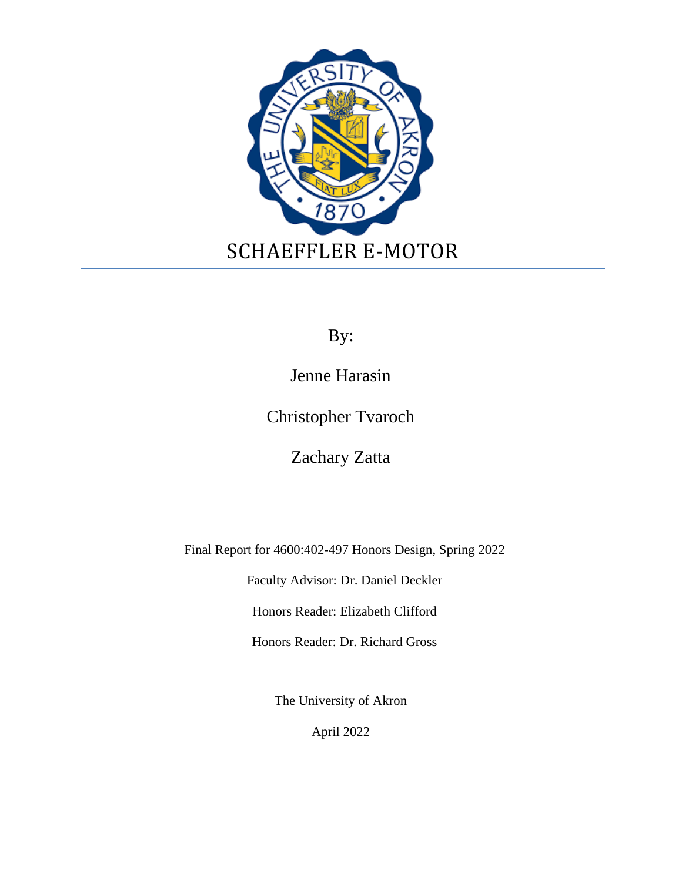

By:

Jenne Harasin

Christopher Tvaroch

Zachary Zatta

Final Report for 4600:402-497 Honors Design, Spring 2022

Faculty Advisor: Dr. Daniel Deckler

Honors Reader: Elizabeth Clifford

Honors Reader: Dr. Richard Gross

The University of Akron

April 2022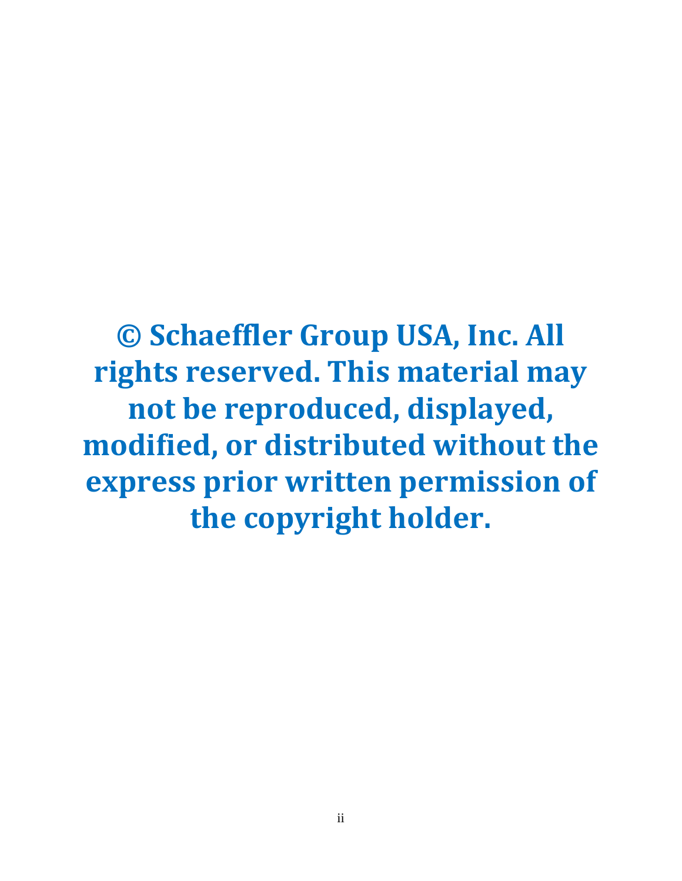**© Schaeffler Group USA, Inc. All rights reserved. This material may not be reproduced, displayed, modified, or distributed without the express prior written permission of the copyright holder.**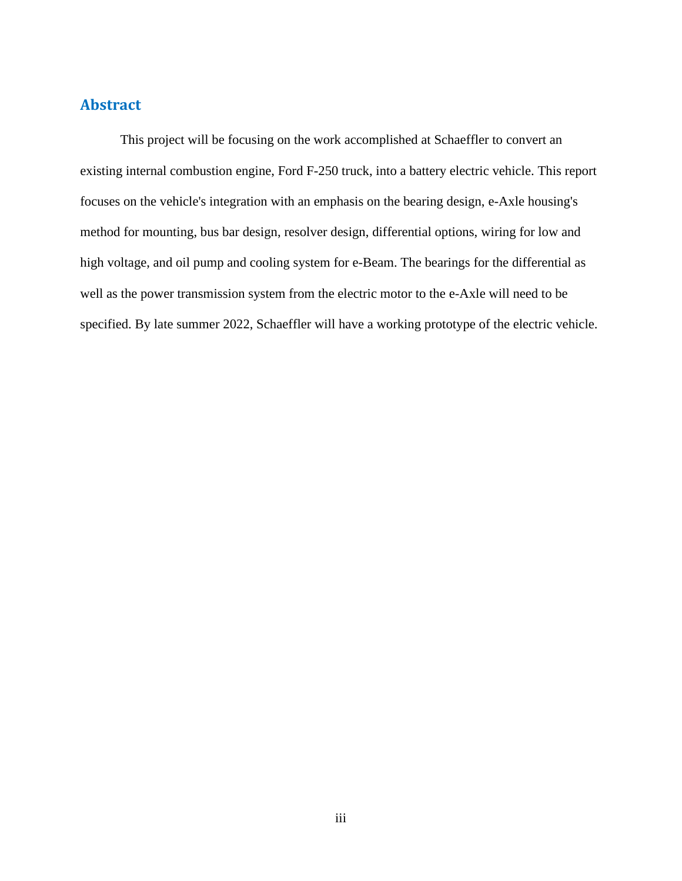## **Abstract**

This project will be focusing on the work accomplished at Schaeffler to convert an existing internal combustion engine, Ford F-250 truck, into a battery electric vehicle. This report focuses on the vehicle's integration with an emphasis on the bearing design, e-Axle housing's method for mounting, bus bar design, resolver design, differential options, wiring for low and high voltage, and oil pump and cooling system for e-Beam. The bearings for the differential as well as the power transmission system from the electric motor to the e-Axle will need to be specified. By late summer 2022, Schaeffler will have a working prototype of the electric vehicle.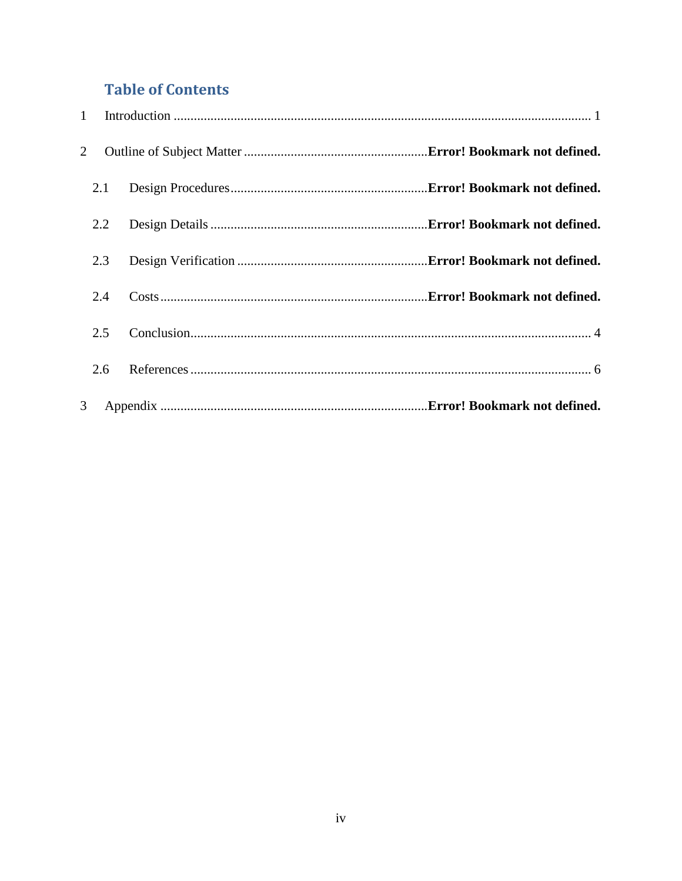# **Table of Contents**

| $\mathbf{1}$ |  |  |
|--------------|--|--|
| 2            |  |  |
| 2.1          |  |  |
| 2.2          |  |  |
| 2.3          |  |  |
| 2.4          |  |  |
| 2.5          |  |  |
| 2.6          |  |  |
| 3            |  |  |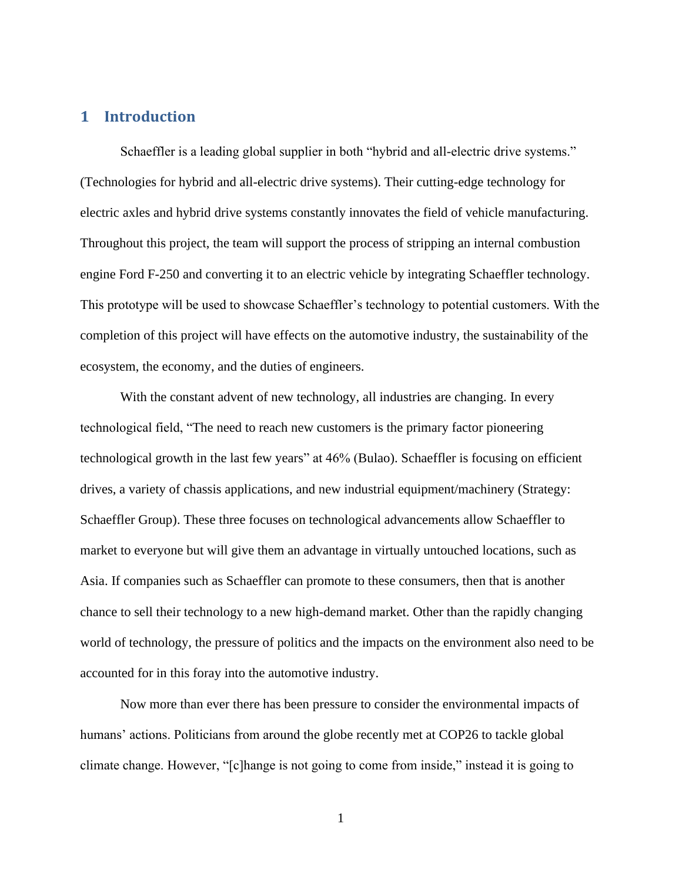## <span id="page-5-0"></span>**1 Introduction**

Schaeffler is a leading global supplier in both "hybrid and all-electric drive systems." (Technologies for hybrid and all-electric drive systems). Their cutting-edge technology for electric axles and hybrid drive systems constantly innovates the field of vehicle manufacturing. Throughout this project, the team will support the process of stripping an internal combustion engine Ford F-250 and converting it to an electric vehicle by integrating Schaeffler technology. This prototype will be used to showcase Schaeffler's technology to potential customers. With the completion of this project will have effects on the automotive industry, the sustainability of the ecosystem, the economy, and the duties of engineers.

With the constant advent of new technology, all industries are changing. In every technological field, "The need to reach new customers is the primary factor pioneering technological growth in the last few years" at 46% (Bulao). Schaeffler is focusing on efficient drives, a variety of chassis applications, and new industrial equipment/machinery (Strategy: Schaeffler Group). These three focuses on technological advancements allow Schaeffler to market to everyone but will give them an advantage in virtually untouched locations, such as Asia. If companies such as Schaeffler can promote to these consumers, then that is another chance to sell their technology to a new high-demand market. Other than the rapidly changing world of technology, the pressure of politics and the impacts on the environment also need to be accounted for in this foray into the automotive industry.

Now more than ever there has been pressure to consider the environmental impacts of humans' actions. Politicians from around the globe recently met at COP26 to tackle global climate change. However, "[c]hange is not going to come from inside," instead it is going to

1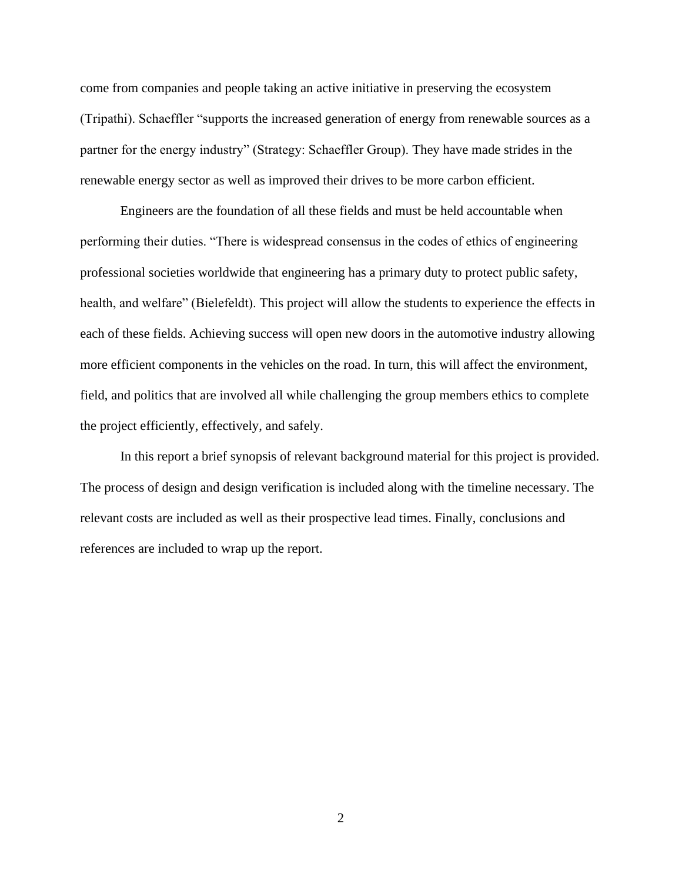come from companies and people taking an active initiative in preserving the ecosystem (Tripathi). Schaeffler "supports the increased generation of energy from renewable sources as a partner for the energy industry" (Strategy: Schaeffler Group). They have made strides in the renewable energy sector as well as improved their drives to be more carbon efficient.

Engineers are the foundation of all these fields and must be held accountable when performing their duties. "There is widespread consensus in the codes of ethics of engineering professional societies worldwide that engineering has a primary duty to protect public safety, health, and welfare" (Bielefeldt). This project will allow the students to experience the effects in each of these fields. Achieving success will open new doors in the automotive industry allowing more efficient components in the vehicles on the road. In turn, this will affect the environment, field, and politics that are involved all while challenging the group members ethics to complete the project efficiently, effectively, and safely.

In this report a brief synopsis of relevant background material for this project is provided. The process of design and design verification is included along with the timeline necessary. The relevant costs are included as well as their prospective lead times. Finally, conclusions and references are included to wrap up the report.

2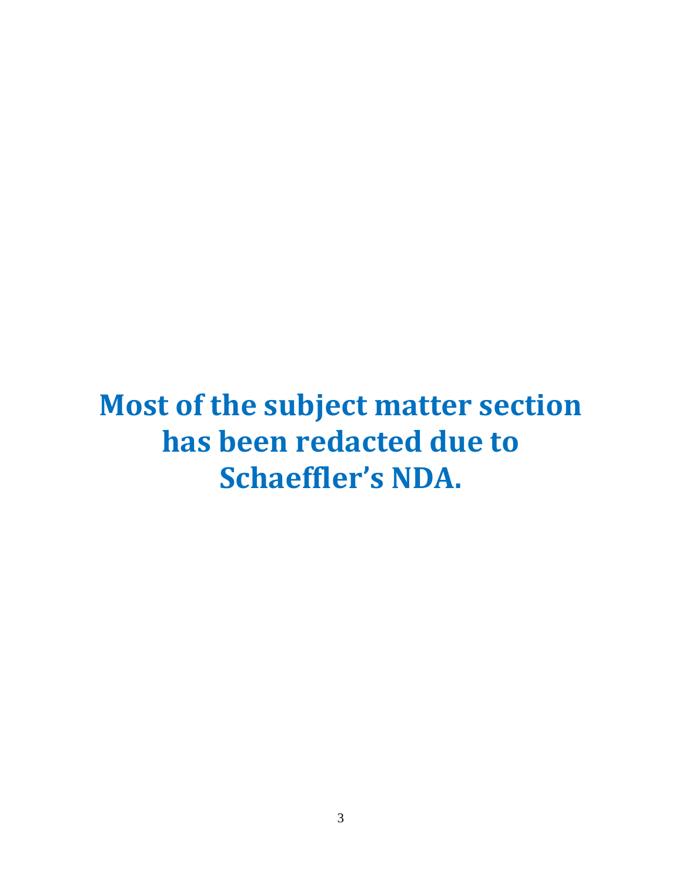# **Most of the subject matter section has been redacted due to Schaeffler's NDA.**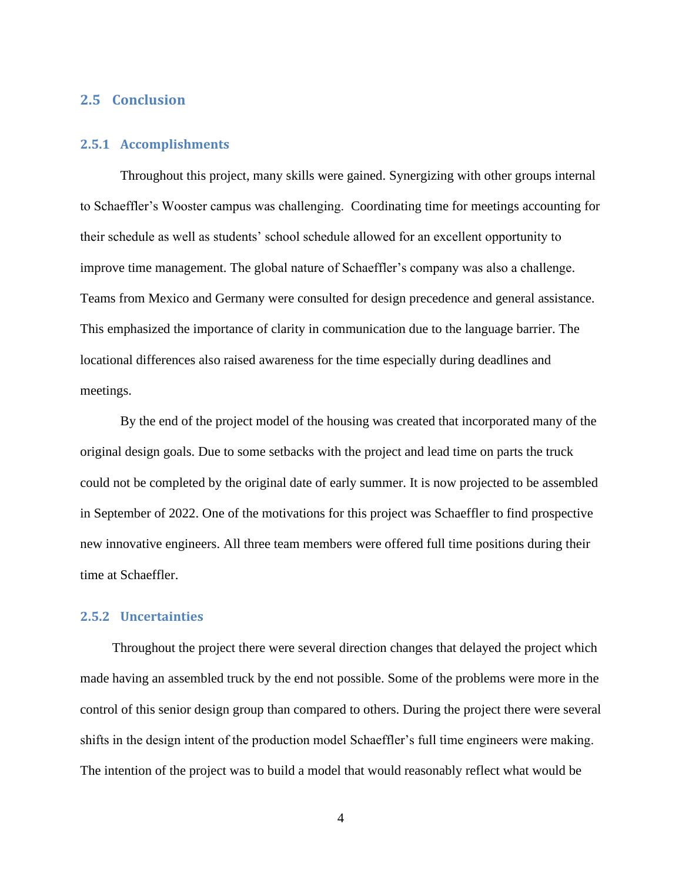## <span id="page-8-0"></span>**2.5 Conclusion**

#### **2.5.1 Accomplishments**

Throughout this project, many skills were gained. Synergizing with other groups internal to Schaeffler's Wooster campus was challenging. Coordinating time for meetings accounting for their schedule as well as students' school schedule allowed for an excellent opportunity to improve time management. The global nature of Schaeffler's company was also a challenge. Teams from Mexico and Germany were consulted for design precedence and general assistance. This emphasized the importance of clarity in communication due to the language barrier. The locational differences also raised awareness for the time especially during deadlines and meetings.

By the end of the project model of the housing was created that incorporated many of the original design goals. Due to some setbacks with the project and lead time on parts the truck could not be completed by the original date of early summer. It is now projected to be assembled in September of 2022. One of the motivations for this project was Schaeffler to find prospective new innovative engineers. All three team members were offered full time positions during their time at Schaeffler.

#### **2.5.2 Uncertainties**

Throughout the project there were several direction changes that delayed the project which made having an assembled truck by the end not possible. Some of the problems were more in the control of this senior design group than compared to others. During the project there were several shifts in the design intent of the production model Schaeffler's full time engineers were making. The intention of the project was to build a model that would reasonably reflect what would be

4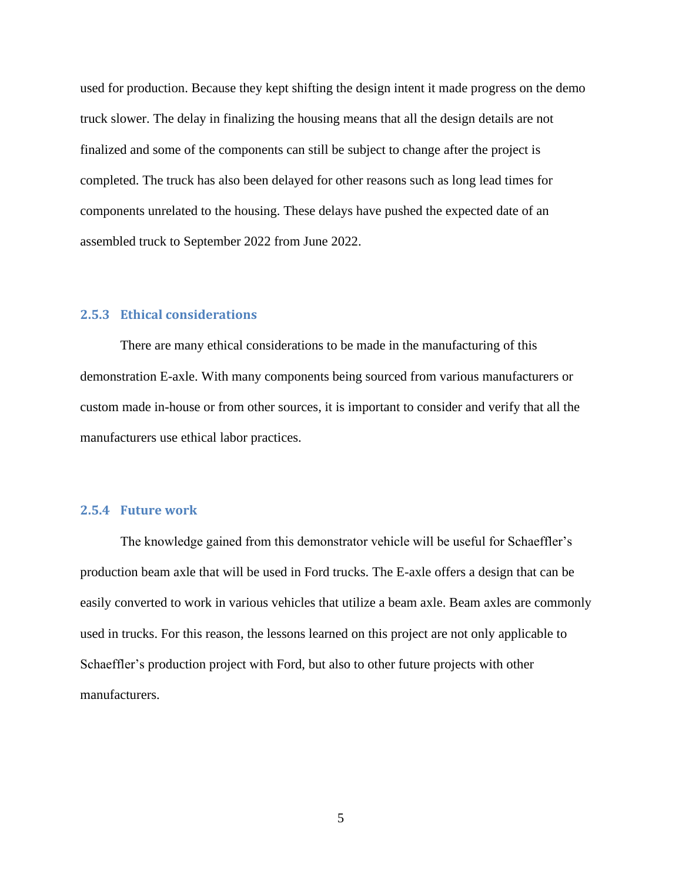used for production. Because they kept shifting the design intent it made progress on the demo truck slower. The delay in finalizing the housing means that all the design details are not finalized and some of the components can still be subject to change after the project is completed. The truck has also been delayed for other reasons such as long lead times for components unrelated to the housing. These delays have pushed the expected date of an assembled truck to September 2022 from June 2022.

### **2.5.3 Ethical considerations**

There are many ethical considerations to be made in the manufacturing of this demonstration E-axle. With many components being sourced from various manufacturers or custom made in-house or from other sources, it is important to consider and verify that all the manufacturers use ethical labor practices.

#### **2.5.4 Future work**

The knowledge gained from this demonstrator vehicle will be useful for Schaeffler's production beam axle that will be used in Ford trucks. The E-axle offers a design that can be easily converted to work in various vehicles that utilize a beam axle. Beam axles are commonly used in trucks. For this reason, the lessons learned on this project are not only applicable to Schaeffler's production project with Ford, but also to other future projects with other manufacturers.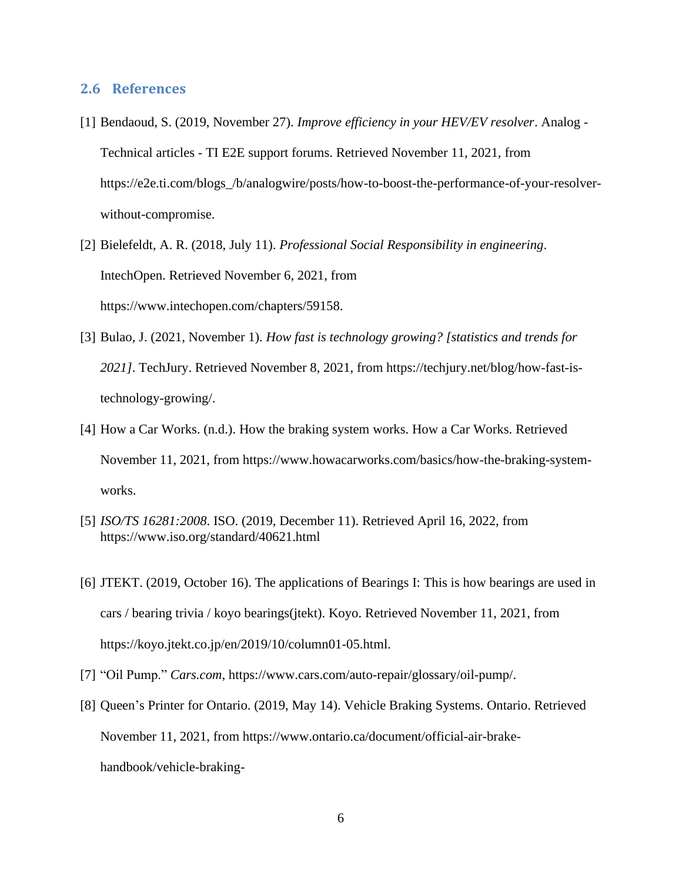#### <span id="page-10-0"></span>**2.6 References**

- [1] Bendaoud, S. (2019, November 27). *Improve efficiency in your HEV/EV resolver*. Analog Technical articles - TI E2E support forums. Retrieved November 11, 2021, from https://e2e.ti.com/blogs\_/b/analogwire/posts/how-to-boost-the-performance-of-your-resolverwithout-compromise.
- [2] Bielefeldt, A. R. (2018, July 11). *Professional Social Responsibility in engineering*. IntechOpen. Retrieved November 6, 2021, from https://www.intechopen.com/chapters/59158.
- [3] Bulao, J. (2021, November 1). *How fast is technology growing? [statistics and trends for 2021]*. TechJury. Retrieved November 8, 2021, from https://techjury.net/blog/how-fast-istechnology-growing/.
- [4] How a Car Works. (n.d.). How the braking system works. How a Car Works. Retrieved November 11, 2021, from https://www.howacarworks.com/basics/how-the-braking-systemworks.
- [5] *ISO/TS 16281:2008*. ISO. (2019, December 11). Retrieved April 16, 2022, from https://www.iso.org/standard/40621.html
- [6] JTEKT. (2019, October 16). The applications of Bearings I: This is how bearings are used in cars / bearing trivia / koyo bearings(jtekt). Koyo. Retrieved November 11, 2021, from https://koyo.jtekt.co.jp/en/2019/10/column01-05.html.
- [7] "Oil Pump." *Cars.com*, https://www.cars.com/auto-repair/glossary/oil-pump/.
- [8] Queen's Printer for Ontario. (2019, May 14). Vehicle Braking Systems. Ontario. Retrieved November 11, 2021, from https://www.ontario.ca/document/official-air-brakehandbook/vehicle-braking-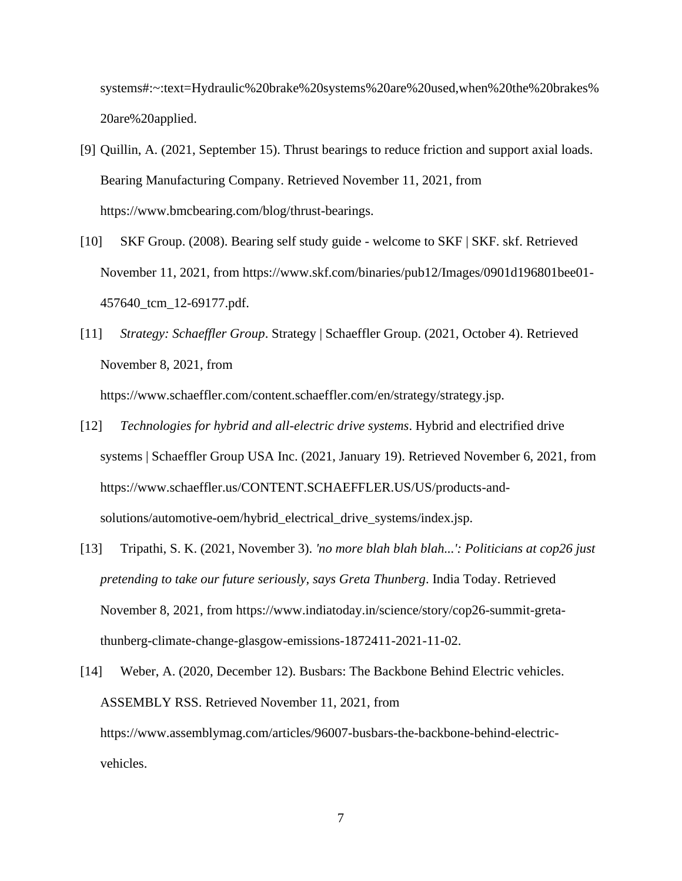systems#:~:text=Hydraulic%20brake%20systems%20are%20used,when%20the%20brakes% 20are%20applied.

- [9] Quillin, A. (2021, September 15). Thrust bearings to reduce friction and support axial loads. Bearing Manufacturing Company. Retrieved November 11, 2021, from https://www.bmcbearing.com/blog/thrust-bearings.
- [10] SKF Group. (2008). Bearing self study guide welcome to SKF | SKF. skf. Retrieved November 11, 2021, from https://www.skf.com/binaries/pub12/Images/0901d196801bee01- 457640\_tcm\_12-69177.pdf.
- [11] *Strategy: Schaeffler Group*. Strategy | Schaeffler Group. (2021, October 4). Retrieved November 8, 2021, from

https://www.schaeffler.com/content.schaeffler.com/en/strategy/strategy.jsp.

- [12] *Technologies for hybrid and all-electric drive systems*. Hybrid and electrified drive systems | Schaeffler Group USA Inc. (2021, January 19). Retrieved November 6, 2021, from https://www.schaeffler.us/CONTENT.SCHAEFFLER.US/US/products-andsolutions/automotive-oem/hybrid\_electrical\_drive\_systems/index.jsp.
- [13] Tripathi, S. K. (2021, November 3). *'no more blah blah blah...': Politicians at cop26 just pretending to take our future seriously, says Greta Thunberg*. India Today. Retrieved November 8, 2021, from https://www.indiatoday.in/science/story/cop26-summit-gretathunberg-climate-change-glasgow-emissions-1872411-2021-11-02.
- [14] Weber, A. (2020, December 12). Busbars: The Backbone Behind Electric vehicles. ASSEMBLY RSS. Retrieved November 11, 2021, from https://www.assemblymag.com/articles/96007-busbars-the-backbone-behind-electricvehicles.